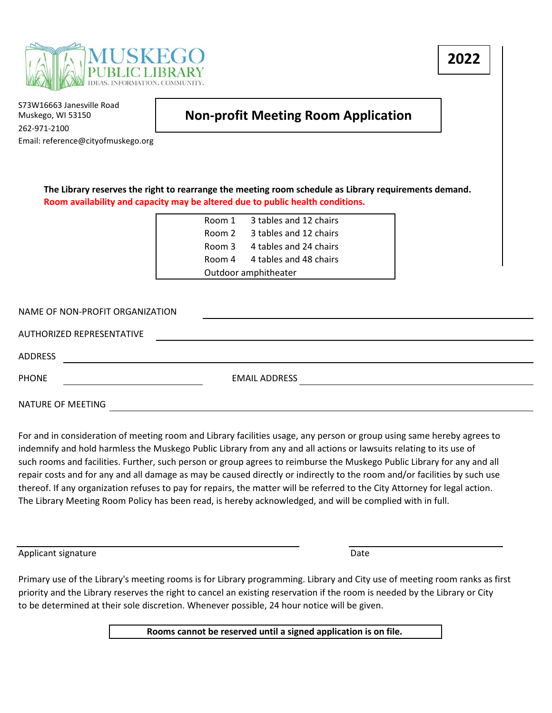

**2022**

S73W16663 Janesville Road Muskego, WI 53150 262-971-2100 Email: reference@cityofmuskego.org

## **Non-profit Meeting Room Application**

**The Library reserves the right to rearrange the meeting room schedule as Library requirements demand. Room availability and capacity may be altered due to public health conditions.**

| Room 1 | 3 tables and 12 chairs        |
|--------|-------------------------------|
| Room 2 | 3 tables and 12 chairs        |
| Room 3 | 4 tables and 24 chairs        |
|        | Room 4 4 tables and 48 chairs |
|        | Outdoor amphitheater          |

| NAME OF NON-PROFIT ORGANIZATION |                      |  |  |  |  |  |  |
|---------------------------------|----------------------|--|--|--|--|--|--|
| AUTHORIZED REPRESENTATIVE       |                      |  |  |  |  |  |  |
| <b>ADDRESS</b>                  |                      |  |  |  |  |  |  |
| <b>PHONE</b>                    | <b>EMAIL ADDRESS</b> |  |  |  |  |  |  |
| NATURE OF MEETING               |                      |  |  |  |  |  |  |

For and in consideration of meeting room and Library facilities usage, any person or group using same hereby agrees to indemnify and hold harmless the Muskego Public Library from any and all actions or lawsuits relating to its use of such rooms and facilities. Further, such person or group agrees to reimburse the Muskego Public Library for any and all repair costs and for any and all damage as may be caused directly or indirectly to the room and/or facilities by such use thereof. If any organization refuses to pay for repairs, the matter will be referred to the City Attorney for legal action. The Library Meeting Room Policy has been read, is hereby acknowledged, and will be complied with in full.

Applicant signature Date Date of the Date of the Date of the Date of the Date of the Date of the Date of the Date of the Date of the Date of the Date of the Date of the Date of the Date of the Date of the Date of the Date

Primary use of the Library's meeting rooms is for Library programming. Library and City use of meeting room ranks as first priority and the Library reserves the right to cancel an existing reservation if the room is needed by the Library or City to be determined at their sole discretion. Whenever possible, 24 hour notice will be given.

**Rooms cannot be reserved until a signed application is on file.**